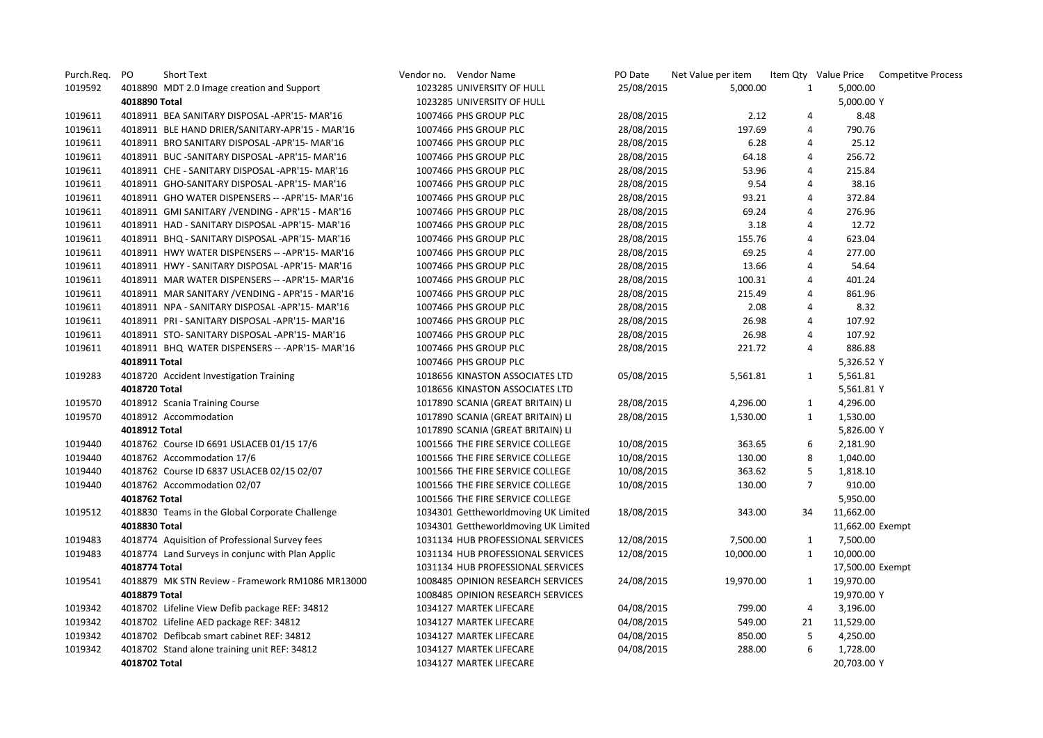| Purch.Req. | PO<br>Short Text                             |                                                  |                            | Vendor no. Vendor Name               | PO Date    | Net Value per item |                |                  | Item Qty Value Price Competitve Process |
|------------|----------------------------------------------|--------------------------------------------------|----------------------------|--------------------------------------|------------|--------------------|----------------|------------------|-----------------------------------------|
| 1019592    | 4018890 MDT 2.0 Image creation and Support   |                                                  |                            | 1023285 UNIVERSITY OF HULL           | 25/08/2015 | 5,000.00           | 1              | 5,000.00         |                                         |
|            | 4018890 Total                                |                                                  | 1023285 UNIVERSITY OF HULL |                                      |            |                    |                | 5,000.00 Y       |                                         |
| 1019611    |                                              | 4018911 BEA SANITARY DISPOSAL -APR'15- MAR'16    |                            | 1007466 PHS GROUP PLC                | 28/08/2015 | 2.12               | 4              | 8.48             |                                         |
| 1019611    |                                              | 4018911 BLE HAND DRIER/SANITARY-APR'15 - MAR'16  |                            | 1007466 PHS GROUP PLC                | 28/08/2015 | 197.69             | 4              | 790.76           |                                         |
| 1019611    |                                              | 4018911 BRO SANITARY DISPOSAL - APR'15-MAR'16    |                            | 1007466 PHS GROUP PLC                | 28/08/2015 | 6.28               | 4              | 25.12            |                                         |
| 1019611    |                                              | 4018911 BUC - SANITARY DISPOSAL - APR'15-MAR'16  |                            | 1007466 PHS GROUP PLC                | 28/08/2015 | 64.18              | 4              | 256.72           |                                         |
| 1019611    |                                              | 4018911 CHE - SANITARY DISPOSAL -APR'15- MAR'16  |                            | 1007466 PHS GROUP PLC                | 28/08/2015 | 53.96              | 4              | 215.84           |                                         |
| 1019611    |                                              | 4018911 GHO-SANITARY DISPOSAL -APR'15- MAR'16    |                            | 1007466 PHS GROUP PLC                | 28/08/2015 | 9.54               | 4              | 38.16            |                                         |
| 1019611    |                                              | 4018911 GHO WATER DISPENSERS -- - APR'15- MAR'16 |                            | 1007466 PHS GROUP PLC                | 28/08/2015 | 93.21              | 4              | 372.84           |                                         |
| 1019611    |                                              | 4018911 GMI SANITARY / VENDING - APR'15 - MAR'16 |                            | 1007466 PHS GROUP PLC                | 28/08/2015 | 69.24              | 4              | 276.96           |                                         |
| 1019611    |                                              | 4018911 HAD - SANITARY DISPOSAL -APR'15- MAR'16  |                            | 1007466 PHS GROUP PLC                | 28/08/2015 | 3.18               | 4              | 12.72            |                                         |
| 1019611    |                                              | 4018911 BHQ - SANITARY DISPOSAL -APR'15- MAR'16  |                            | 1007466 PHS GROUP PLC                | 28/08/2015 | 155.76             | 4              | 623.04           |                                         |
| 1019611    |                                              | 4018911 HWY WATER DISPENSERS -- - APR'15- MAR'16 |                            | 1007466 PHS GROUP PLC                | 28/08/2015 | 69.25              | 4              | 277.00           |                                         |
| 1019611    |                                              | 4018911 HWY - SANITARY DISPOSAL -APR'15- MAR'16  |                            | 1007466 PHS GROUP PLC                | 28/08/2015 | 13.66              | 4              | 54.64            |                                         |
| 1019611    |                                              | 4018911 MAR WATER DISPENSERS -- - APR'15- MAR'16 |                            | 1007466 PHS GROUP PLC                | 28/08/2015 | 100.31             | 4              | 401.24           |                                         |
| 1019611    |                                              | 4018911 MAR SANITARY / VENDING - APR'15 - MAR'16 |                            | 1007466 PHS GROUP PLC                | 28/08/2015 | 215.49             | 4              | 861.96           |                                         |
| 1019611    |                                              | 4018911 NPA - SANITARY DISPOSAL -APR'15- MAR'16  |                            | 1007466 PHS GROUP PLC                | 28/08/2015 | 2.08               | 4              | 8.32             |                                         |
| 1019611    |                                              | 4018911 PRI - SANITARY DISPOSAL -APR'15- MAR'16  |                            | 1007466 PHS GROUP PLC                | 28/08/2015 | 26.98              | 4              | 107.92           |                                         |
| 1019611    |                                              | 4018911 STO- SANITARY DISPOSAL -APR'15- MAR'16   |                            | 1007466 PHS GROUP PLC                | 28/08/2015 | 26.98              | 4              | 107.92           |                                         |
| 1019611    |                                              | 4018911 BHQ WATER DISPENSERS -- - APR'15- MAR'16 |                            | 1007466 PHS GROUP PLC                | 28/08/2015 | 221.72             | 4              | 886.88           |                                         |
|            | 4018911 Total                                |                                                  |                            | 1007466 PHS GROUP PLC                |            |                    |                | 5,326.52 Y       |                                         |
| 1019283    | 4018720 Accident Investigation Training      |                                                  |                            | 1018656 KINASTON ASSOCIATES LTD      | 05/08/2015 | 5,561.81           | 1              | 5,561.81         |                                         |
|            | 4018720 Total                                |                                                  |                            | 1018656 KINASTON ASSOCIATES LTD      |            |                    |                | 5,561.81 Y       |                                         |
| 1019570    | 4018912 Scania Training Course               |                                                  |                            | 1017890 SCANIA (GREAT BRITAIN) LI    | 28/08/2015 | 4,296.00           | $\mathbf{1}$   | 4,296.00         |                                         |
| 1019570    | 4018912 Accommodation                        |                                                  |                            | 1017890 SCANIA (GREAT BRITAIN) LI    | 28/08/2015 | 1,530.00           | $\mathbf{1}$   | 1,530.00         |                                         |
|            | 4018912 Total                                |                                                  |                            | 1017890 SCANIA (GREAT BRITAIN) LI    |            |                    |                | 5,826.00 Y       |                                         |
| 1019440    | 4018762 Course ID 6691 USLACEB 01/15 17/6    |                                                  |                            | 1001566 THE FIRE SERVICE COLLEGE     | 10/08/2015 | 363.65             | 6              | 2,181.90         |                                         |
| 1019440    | 4018762 Accommodation 17/6                   |                                                  |                            | 1001566 THE FIRE SERVICE COLLEGE     | 10/08/2015 | 130.00             | 8              | 1,040.00         |                                         |
| 1019440    |                                              | 4018762 Course ID 6837 USLACEB 02/15 02/07       |                            | 1001566 THE FIRE SERVICE COLLEGE     | 10/08/2015 | 363.62             | 5              | 1,818.10         |                                         |
| 1019440    | 4018762 Accommodation 02/07                  |                                                  |                            | 1001566 THE FIRE SERVICE COLLEGE     | 10/08/2015 | 130.00             | $\overline{7}$ | 910.00           |                                         |
|            | 4018762 Total                                |                                                  |                            | 1001566 THE FIRE SERVICE COLLEGE     |            |                    |                | 5,950.00         |                                         |
| 1019512    |                                              | 4018830 Teams in the Global Corporate Challenge  |                            | 1034301 Gettheworldmoving UK Limited | 18/08/2015 | 343.00             | 34             | 11,662.00        |                                         |
|            | 4018830 Total                                |                                                  |                            | 1034301 Gettheworldmoving UK Limited |            |                    |                | 11,662.00 Exempt |                                         |
| 1019483    |                                              | 4018774 Aquisition of Professional Survey fees   |                            | 1031134 HUB PROFESSIONAL SERVICES    | 12/08/2015 | 7,500.00           | 1              | 7,500.00         |                                         |
| 1019483    |                                              | 4018774 Land Surveys in conjunc with Plan Applic |                            | 1031134 HUB PROFESSIONAL SERVICES    | 12/08/2015 | 10,000.00          | 1              | 10,000.00        |                                         |
|            | 4018774 Total                                |                                                  |                            | 1031134 HUB PROFESSIONAL SERVICES    |            |                    |                | 17,500.00 Exempt |                                         |
| 1019541    |                                              | 4018879 MK STN Review - Framework RM1086 MR13000 |                            | 1008485 OPINION RESEARCH SERVICES    | 24/08/2015 | 19,970.00          | 1              | 19,970.00        |                                         |
|            | 4018879 Total                                |                                                  |                            | 1008485 OPINION RESEARCH SERVICES    |            |                    |                | 19,970.00 Y      |                                         |
| 1019342    |                                              | 4018702 Lifeline View Defib package REF: 34812   |                            | 1034127 MARTEK LIFECARE              | 04/08/2015 | 799.00             | 4              | 3,196.00         |                                         |
| 1019342    | 4018702 Lifeline AED package REF: 34812      |                                                  |                            | 1034127 MARTEK LIFECARE              | 04/08/2015 | 549.00             | 21             | 11,529.00        |                                         |
| 1019342    | 4018702 Defibcab smart cabinet REF: 34812    |                                                  |                            | 1034127 MARTEK LIFECARE              | 04/08/2015 | 850.00             | 5              | 4,250.00         |                                         |
| 1019342    | 4018702 Stand alone training unit REF: 34812 |                                                  |                            | 1034127 MARTEK LIFECARE              | 04/08/2015 | 288.00             | 6              | 1,728.00         |                                         |
|            | 4018702 Total                                |                                                  |                            | 1034127 MARTEK LIFECARE              |            |                    |                | 20,703.00 Y      |                                         |